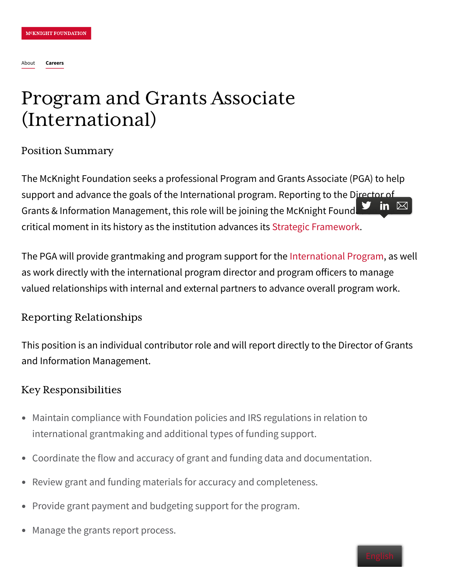# Program and Grants Associate (International)

Position Summary

The McKnight Foundation seeks a professional Program and Grants Associate (PGA) to help support and advance the goals of the International program. Reporting to the Director of Grants & Information Management, this role will be joining the McKnight Found  $\Box$  in  $\boxtimes$ critical moment in its history as the institution advances its Strategic [Framework](https://www.mcknight.org/wp-content/uploads/01-17-19-2019-2021-mcknight-strategic-framework.pdf).

The PGA will provide grantmaking and program support for the [International](https://www.mcknight.org/programs/international/) Program, as well as work directly with the international program director and program officers to manage valued relationships with internal and external partners to advance overall program work.

### Reporting Relationships

This position is an individual contributor role and will report directly to the Director of Grants and Information Management.

#### Key Responsibilities

- Maintain compliance with Foundation policies and IRS regulations in relation to international grantmaking and additional types of funding support.
- Coordinate the flow and accuracy of grant and funding data and documentation.
- Review grant and funding materials for accuracy and completeness.
- Provide grant payment and budgeting support for the program.
- Manage the grants report process.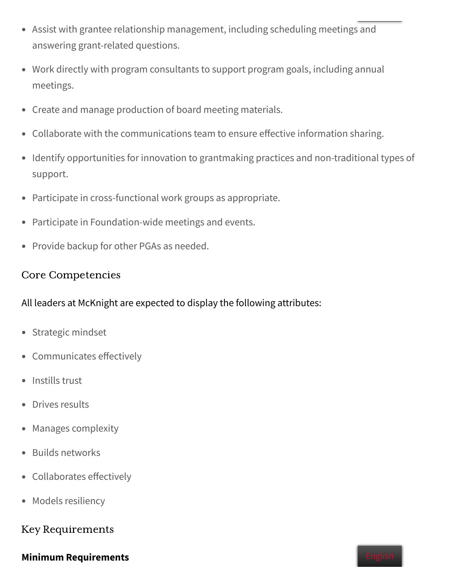- Assist with grantee relationship management, including scheduling meetings and answering grant-related questions.
- Work directly with program consultants to support program goals, including annual meetings.
- Create and manage production of board meeting materials.
- Collaborate with the communications team to ensure effective information sharing.
- Identify opportunities for innovation to grantmaking practices and non-traditional types of support.
- Participate in cross-functional work groups as appropriate.  $\bullet$
- Participate in Foundation-wide meetings and events.
- Provide backup for other PGAs as needed.

#### Core Competencies

All leaders at McKnight are expected to display the following attributes:

- Strategic mindset
- Communicates effectively
- Instills trust
- Drives results  $\bullet$
- Manages complexity
- Builds networks
- Collaborates effectively
- Models resiliency

#### Key Requirements

#### **Minimum Requirements**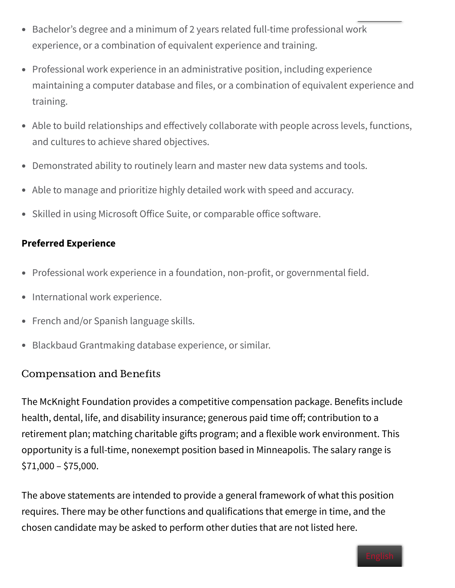- Bachelor's degree and a minimum of 2 years related full-time professional work experience, or a combination of equivalent experience and training.
- Professional work experience in an administrative position, including experience maintaining a computer database and files, or a combination of equivalent experience and training.
- Able to build relationships and effectively collaborate with people across levels, functions, and cultures to achieve shared objectives.
- Demonstrated ability to routinely learn and master new data systems and tools.  $\bullet$
- Able to manage and prioritize highly detailed work with speed and accuracy.
- Skilled in using Microsoft Office Suite, or comparable office software.

### **Preferred Experience**

- Professional work experience in a foundation, non-profit, or governmental field.
- International work experience.
- French and/or Spanish language skills.
- Blackbaud Grantmaking database experience, or similar.  $\bullet$

## **Compensation and Benefits**

The McKnight Foundation provides a competitive compensation package. Benefits include health, dental, life, and disability insurance; generous paid time off; contribution to a retirement plan; matching charitable gifts program; and a flexible work environment. This opportunity is a full-time, nonexempt position based in Minneapolis. The salary range is  $$71,000 - $75,000.$ 

The above statements are intended to provide a general framework of what this position requires. There may be other functions and qualifications that emerge in time, and the chosen candidate may be asked to perform other duties that are not listed here.

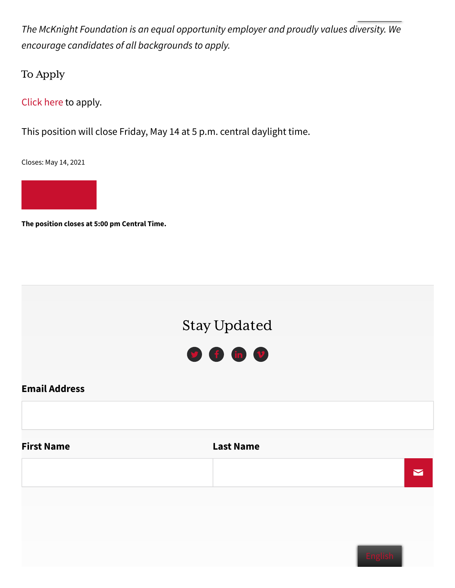The McKnight Foundation is an equal opportunity employer and proudly values diversity. We encourage candidates of all backgrounds to apply.

To Apply

[Click](https://www.mcknight.org/about/careers/apply-now/?job_opening=45531-program-and-grants-associate-international) here to apply.

This position will close Friday, May 14 at 5 p.m. central daylight time.

Closes: May 14, 2021



**The position closes at 5:00 pm Central Time.**